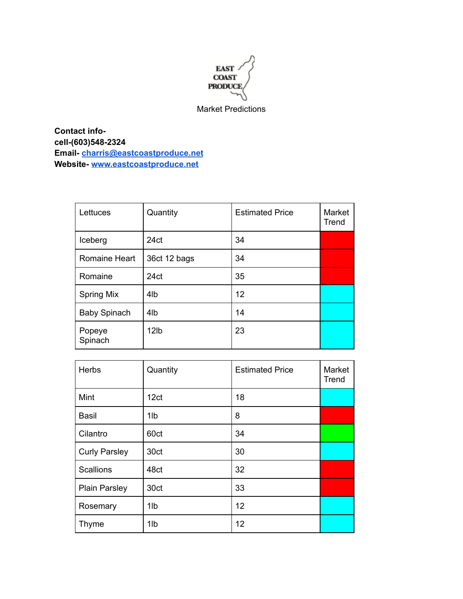

Market Predictions

**Contact infocell-(603)548-2324 Email- [charris@eastcoastproduce.net](mailto:charris@eastcoastproduce.net) Website- [www.eastcoastproduce.net](http://www.eastcoastproduce.net)**

| Lettuces            | Quantity         | <b>Estimated Price</b> | Market<br>Trend |
|---------------------|------------------|------------------------|-----------------|
| Iceberg             | 24 <sub>ct</sub> | 34                     |                 |
| Romaine Heart       | 36ct 12 bags     | 34                     |                 |
| Romaine             | 24ct             | 35                     |                 |
| <b>Spring Mix</b>   | 4 <sub>l</sub> b | 12                     |                 |
| <b>Baby Spinach</b> | 4 <sub>l</sub> b | 14                     |                 |
| Popeye<br>Spinach   | 12lb             | 23                     |                 |

| Herbs                | Quantity        | <b>Estimated Price</b> | Market<br>Trend |
|----------------------|-----------------|------------------------|-----------------|
| Mint                 | 12ct            | 18                     |                 |
| <b>Basil</b>         | 1 <sub>Ib</sub> | 8                      |                 |
| Cilantro             | 60ct            | 34                     |                 |
| <b>Curly Parsley</b> | 30ct            | 30                     |                 |
| <b>Scallions</b>     | 48ct            | 32                     |                 |
| <b>Plain Parsley</b> | 30ct            | 33                     |                 |
| Rosemary             | 1lb             | 12                     |                 |
| <b>Thyme</b>         | 1lb             | 12                     |                 |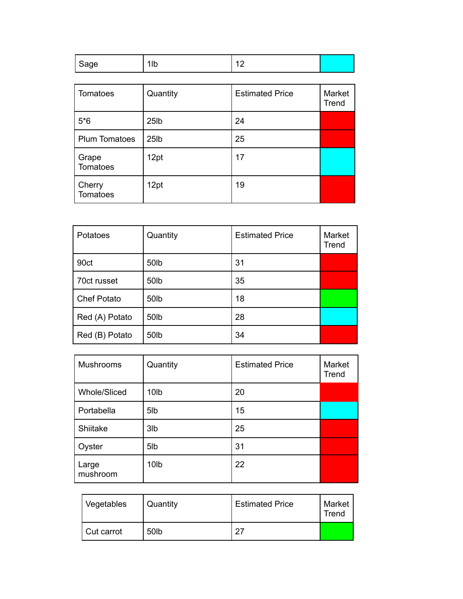| Tomatoes             | Quantity          | <b>Estimated Price</b> | Market<br>Trend |
|----------------------|-------------------|------------------------|-----------------|
| $5*6$                | 25 <sub>1</sub> b | 24                     |                 |
| <b>Plum Tomatoes</b> | 25 <sub>1</sub> b | 25                     |                 |
| Grape<br>Tomatoes    | 12pt              | 17                     |                 |
| Cherry<br>Tomatoes   | 12pt              | 19                     |                 |

| Potatoes           | Quantity | <b>Estimated Price</b> | Market<br>Trend |
|--------------------|----------|------------------------|-----------------|
| 90ct               | 50lb     | 31                     |                 |
| 70ct russet        | 50lb     | 35                     |                 |
| <b>Chef Potato</b> | 50lb     | 18                     |                 |
| Red (A) Potato     | 50lb     | 28                     |                 |
| Red (B) Potato     | 50lb     | 34                     |                 |

| Mushrooms           | Quantity         | <b>Estimated Price</b> | Market<br>Trend |
|---------------------|------------------|------------------------|-----------------|
| <b>Whole/Sliced</b> | 10 <sub>Ib</sub> | 20                     |                 |
| Portabella          | 5 <sub>lb</sub>  | 15                     |                 |
| Shiitake            | 3 <sub>lb</sub>  | 25                     |                 |
| Oyster              | 5 <sub>lb</sub>  | 31                     |                 |
| Large<br>mushroom   | 10 <sub>lb</sub> | 22                     |                 |

| Vegetables | Quantity         | <b>Estimated Price</b> | Market<br>Trend |
|------------|------------------|------------------------|-----------------|
| Cut carrot | 50 <sub>lb</sub> | דר                     |                 |